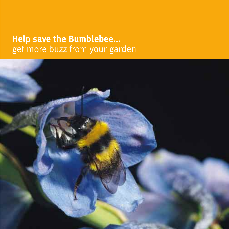# **Help save the Bumblebee...** get more buzz from your garden

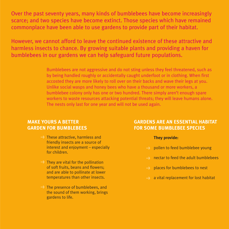Over the past seventy years, many kinds of bumblebees have become increasingly scarce; and two species have become extinct. Those species which have remained commonplace have been able to use gardens to provide part of their habitat.

However, we cannot afford to leave the continued existence of these attractive and harmless insects to chance. By growing suitable plants and providing a haven for bumblebees in our gardens we can help safeguard future populations.

> Bumblebees are not aggressive and do not sting unless they feel threatened, such as by being handled roughly or accidentally caught underfoot or in clothing. When first accosted they are more likely to roll over on their backs and wave their legs at you. Unlike social wasps and honey bees who have a thousand or more workers, a bumblebee colony only has one or two hundred. There simply aren't enough spare workers to waste resources attacking potential threats; they will leave humans alone. The nests only last for one year and will not be used again.

# **MAKE YOURS A BETTER GARDEN FOR BUMBLEBEES**

- **>** These attractive, harmless and friendly insects are a source of interest and enjoyment – especially for children.
- **>** They are vital for the pollination of soft fruits, beans and flowers; and are able to pollinate at lower temperatures than other insects.
- **EX The presence of bumblebees, and** the sound of them working, brings gardens to life.

# **GARDENS ARE AN ESSENTIAL HABITAT FOR SOME BUMBLEBEE SPECIES**

# **They provide:**

- pollen to feed bumblebee young **>**
- nectar to feed the adult bumblebees **>**
- $\rightarrow$  places for bumblebees to nest
- a vital replacement for lost habitat **>**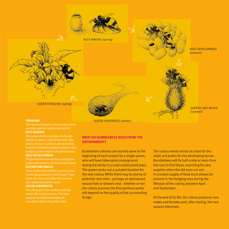

#### **FORAGING**

The queen emerges in the spring, feeds and then gathers pollen and nectar **NEST MAKING** 

The queen finds a suitable cavity and food for herself during bad weather and builds a pollen larder to feed her brood. **NEST DEVELOPMENT**

The brood become workers and gather pollen and nectar to feed the later brood. **QUEENS AND MALES** 

Later in the year females (queens) and leave the nest and mate with queens and males from other nests.

#### **QUEEN HIBERNATES**

The old queen, the workers and the males die in late autumn. The new queens excavate underground

QUEEN HIBERNATES (winter)

# **WHAT DO BUMBLEBEES NEED FROM THE ENVIRONMENT?**

Bumblebee colonies are started anew at the beginning of each season by a single queen, who will have hibernated underground during the winter in a cool undisturbed place. The queen seeks out a suitable location for the new colony. While there may be plenty of potential nest sites - perhaps an abandoned mouse hole or shrew's nest - whether or not the colony survives the first perilous weeks will depend on the quality of the surrounding forage.

The colony needs nectar as a fuel for the adult and pollen for the developing larvae. Bumblebees will fly half a mile or more from the nest to find these, searching for new supplies when the old ones run out. A constant supply of food must always be present in the foraging area during the lifespan of the colony, between April and September.

At the end of its life, the colony produces new males and females and, after mating, the new queens hibernate.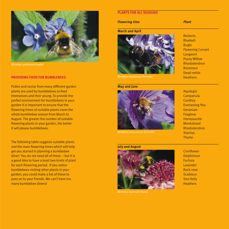

*Bombus pratorum* (male)

#### **PROVIDING FOOD FOR BUMBLEBEES**

Pollen and nectar from many different garden plants are used by bumblebees to feed themselves and their young. To provide the perfect environment for bumblebees in your garden it is important to ensure that the flowering times of suitable plants cover the whole bumblebee season from March to August. The greater the number of suitable flowering plants in your garden, the better it will please bumblebees.

The following table suggests suitable plants and the main flowering times which will help get you started in planning a bumblebee diner! You do not need all of these – but it is a good idea to have a least two kinds of plant for each flowering period. If you notice bumblebees visiting other plants in your garden, you could make a list of these to pass on to your friends. We can't have too many bumblebee diners!

# **PLANTS FOR ALL SEASONS**

*Flowering time* Plant

### **March and April**



*Bombus lapidarius* (female)

#### **May and June**



*Bombus pascuorum* (female)

#### **July and August**



Berberis Bluebell Bugle Flowering Currant **Lungwort** Pussy Willow Rhododendron Rosemary Dead-nettle **Heathers** 

Aquilegia Campanula **Comfrey** Everlasting Pea Geranium Foxglove Honeysuckle Monkshood Rhododendron **Stachys** Thyme

**Cornflower** Delphinium Fuchsia Lavender Rock-rose **Scabious** Sea Holly **Heathers**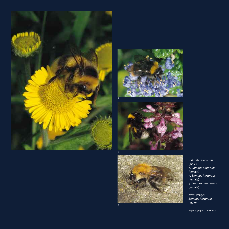







1. *Bombus lucorum* (male) 2. *Bombus pratorum* (female) 3. *Bombus hortorum* (female) 4. *Bombus pascuorum* (female)

cover image: *Bombus hortorum*  (male)

All photographs © Ted Benton